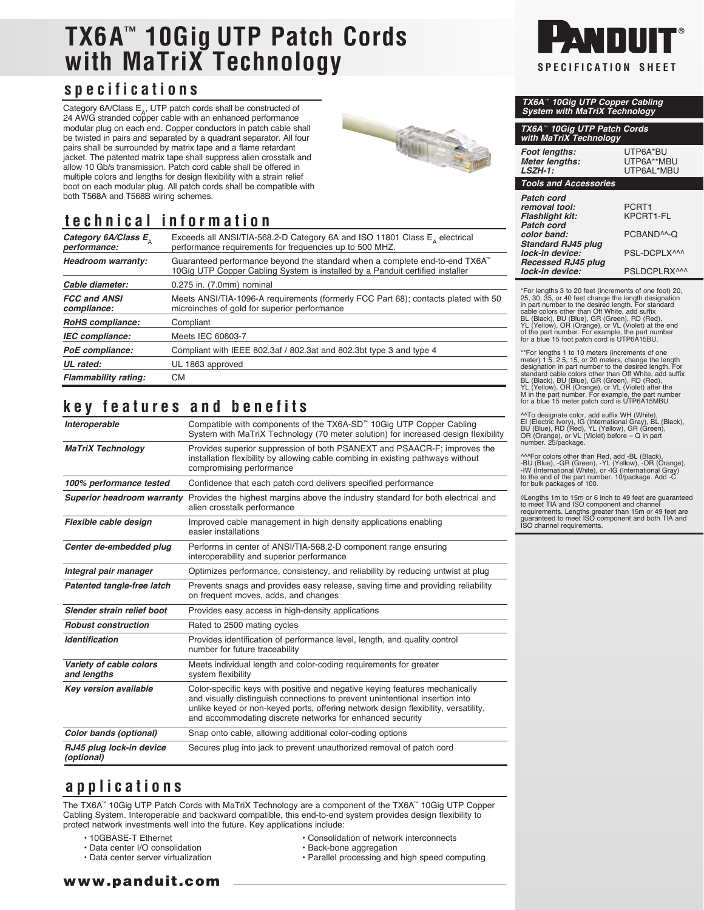# **TX6A**™ **10Gig UTP Patch Cords with MaTriX Technology** SPECIFICATION SHEET

### **specifications**

Category 6A/Class  $E_A$ , UTP patch cords shall be constructed of 24 AWG stranded copper cable with an enhanced performance modular plug on each end. Copper conductors in patch cable shall be twisted in pairs and separated by a quadrant separator. All four pairs shall be surrounded by matrix tape and a flame retardant jacket. The patented matrix tape shall suppress alien crosstalk and allow 10 Gb/s transmission. Patch cord cable shall be offered in multiple colors and lengths for design flexibility with a strain relief boot on each modular plug. All patch cords shall be compatible with both T568A and T568B wiring schemes.



### **technical information**

| Category 6A/Class $E_{\Lambda}$<br>performance: | Exceeds all ANSI/TIA-568.2-D Category 6A and ISO 11801 Class E <sub>n</sub> electrical<br>performance requirements for frequencies up to 500 MHZ.                        |
|-------------------------------------------------|--------------------------------------------------------------------------------------------------------------------------------------------------------------------------|
| Headroom warranty:                              | Guaranteed performance beyond the standard when a complete end-to-end TX6A <sup>™</sup><br>10Gig UTP Copper Cabling System is installed by a Panduit certified installer |
| Cable diameter:                                 | 0.275 in. (7.0mm) nominal                                                                                                                                                |
| <b>FCC and ANSI</b><br>compliance:              | Meets ANSI/TIA-1096-A requirements (formerly FCC Part 68); contacts plated with 50<br>microinches of gold for superior performance                                       |
| RoHS compliance:                                | Compliant                                                                                                                                                                |
| IEC compliance:                                 | Meets IEC 60603-7                                                                                                                                                        |
| PoE compliance:                                 | Compliant with IEEE 802.3af / 802.3at and 802.3bt type 3 and type 4                                                                                                      |
| UL rated:                                       | UL 1863 approved                                                                                                                                                         |
| <b>Flammability rating:</b>                     | <b>CM</b>                                                                                                                                                                |

### **key features and benefits**

| Interoperable                          | Compatible with components of the TX6A-SD™ 10Gig UTP Copper Cabling<br>System with MaTriX Technology (70 meter solution) for increased design flexibility                                                                                                                                                      |
|----------------------------------------|----------------------------------------------------------------------------------------------------------------------------------------------------------------------------------------------------------------------------------------------------------------------------------------------------------------|
| <b>MaTriX Technology</b>               | Provides superior suppression of both PSANEXT and PSAACR-F; improves the<br>installation flexibility by allowing cable combing in existing pathways without<br>compromising performance                                                                                                                        |
| 100% performance tested                | Confidence that each patch cord delivers specified performance                                                                                                                                                                                                                                                 |
| Superior headroom warranty             | Provides the highest margins above the industry standard for both electrical and<br>alien crosstalk performance                                                                                                                                                                                                |
| Flexible cable design                  | Improved cable management in high density applications enabling<br>easier installations                                                                                                                                                                                                                        |
| Center de-embedded plug                | Performs in center of ANSI/TIA-568.2-D component range ensuring<br>interoperability and superior performance                                                                                                                                                                                                   |
| Integral pair manager                  | Optimizes performance, consistency, and reliability by reducing untwist at plug                                                                                                                                                                                                                                |
| Patented tangle-free latch             | Prevents snags and provides easy release, saving time and providing reliability<br>on frequent moves, adds, and changes                                                                                                                                                                                        |
| Slender strain relief boot             | Provides easy access in high-density applications                                                                                                                                                                                                                                                              |
| <b>Robust construction</b>             | Rated to 2500 mating cycles                                                                                                                                                                                                                                                                                    |
| <b>Identification</b>                  | Provides identification of performance level, length, and quality control<br>number for future traceability                                                                                                                                                                                                    |
| Variety of cable colors<br>and lengths | Meets individual length and color-coding requirements for greater<br>system flexibility                                                                                                                                                                                                                        |
| <b>Key version available</b>           | Color-specific keys with positive and negative keying features mechanically<br>and visually distinguish connections to prevent unintentional insertion into<br>unlike keyed or non-keyed ports, offering network design flexibility, versatility,<br>and accommodating discrete networks for enhanced security |
| Color bands (optional)                 | Snap onto cable, allowing additional color-coding options                                                                                                                                                                                                                                                      |
| RJ45 plug lock-in device<br>(optional) | Secures plug into jack to prevent unauthorized removal of patch cord                                                                                                                                                                                                                                           |

### **applications**

The TX6A™ 10Gig UTP Patch Cords with MaTriX Technology are a component of the TX6A™ 10Gig UTP Copper Cabling System. Interoperable and backward compatible, this end-to-end system provides design flexibility to protect network investments well into the future. Key applications include:

- 10GBASE-T Ethernet
- Data center I/O consolidation
- Data center server virtualization
- Consolidation of network interconnects • Back-bone aggregation
- Parallel processing and high speed computing



| TX6A <sup>*</sup> 10Gig UTP Copper Cabling<br><b>System with MaTriX Technology</b> |  |
|------------------------------------------------------------------------------------|--|
|                                                                                    |  |
| TX6A" 10Gig UTP Patch Cords<br>with MaTriX Technology                              |  |

*Foot lengths:* UTP6A\*BU *Meter lengths:*<br>ISZH-1: *LSZH-1:* UTP6AL\*MBU

#### *Tools and Accessories*

| Patch cord                |                         |
|---------------------------|-------------------------|
| removal tool:             | PCRT1                   |
| <b>Flashlight kit:</b>    | KPCRT1-FL               |
| Patch cord                |                         |
| color band:               | PCBAND <sup>^^</sup> -Q |
| <b>Standard RJ45 plug</b> |                         |
| lock-in device:           | PSL-DCPLX^^^            |
| Recessed RJ45 plug        |                         |
| lock-in device:           | PSLDCPLRX^^^            |

\*For lengths 3 to 20 feet (increments of one foot) 20, 25, 30, 35, or 40 feet change the length designation<br>in part number to the desired length. For standard<br>cable colors other than Off White, add suffix<br>BL (Black), BU (Blue), GR (Green), FD (Red),<br>YL (Yellow), OR (Orange), o

\*\*For lengths 1 to 10 meters (increments of one meter) 1.5, 2.5, 15, or 20 meters, change the length designation in part number to the desired length. For standard cable colors other than Off White, add suffix BL (Black), BU (Blue), GR (Green), RD (Red), YL (Yellow), OR (Orange), or VL (Violet) after the M in the part number. For example, the part number for a blue 15 meter patch cord is UTP6A15MBU.

^^To designate color, add suffix WH (White),<br>EI (Electric Ivory), IG (International Gray), BL (Black),<br>BU (Blue), RD (Red), YL (Yellow), GR (Green),<br>oumber. 25/package.<br>number. 25/package.

^^^For colors other than Red, add -BL (Black),<br>-BU (Blue), -GR (Green), -YL (Yellow), -OR (Orange),<br>-IW (International White), or -IG (International Gray)<br>tor bulk packages of 100.

◊Lengths 1m to 15m or 6 inch to 49 feet are guaranteed to meet TIA and ISO component and channel requirements. Lengths greater than 15m or 49 feet are guaranteed to meet ISO component and both TIA and ISO channel requirements.

www.panduit.com